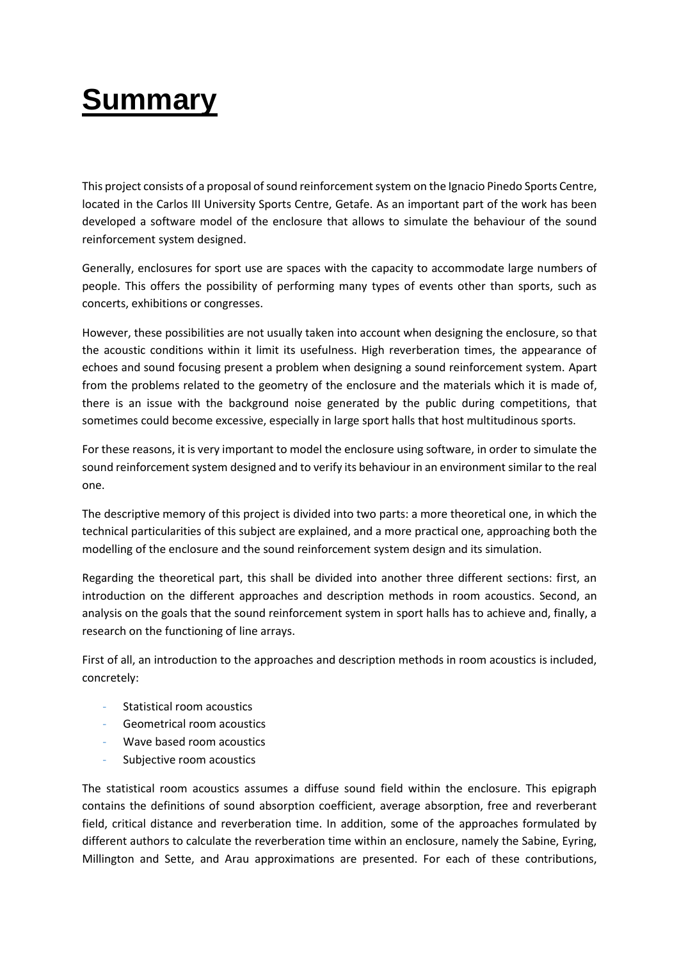## **Summary**

This project consists of a proposal of sound reinforcement system on the Ignacio Pinedo Sports Centre, located in the Carlos III University Sports Centre, Getafe. As an important part of the work has been developed a software model of the enclosure that allows to simulate the behaviour of the sound reinforcement system designed.

Generally, enclosures for sport use are spaces with the capacity to accommodate large numbers of people. This offers the possibility of performing many types of events other than sports, such as concerts, exhibitions or congresses.

However, these possibilities are not usually taken into account when designing the enclosure, so that the acoustic conditions within it limit its usefulness. High reverberation times, the appearance of echoes and sound focusing present a problem when designing a sound reinforcement system. Apart from the problems related to the geometry of the enclosure and the materials which it is made of, there is an issue with the background noise generated by the public during competitions, that sometimes could become excessive, especially in large sport halls that host multitudinous sports.

For these reasons, it is very important to model the enclosure using software, in order to simulate the sound reinforcement system designed and to verify its behaviour in an environment similar to the real one.

The descriptive memory of this project is divided into two parts: a more theoretical one, in which the technical particularities of this subject are explained, and a more practical one, approaching both the modelling of the enclosure and the sound reinforcement system design and its simulation.

Regarding the theoretical part, this shall be divided into another three different sections: first, an introduction on the different approaches and description methods in room acoustics. Second, an analysis on the goals that the sound reinforcement system in sport halls has to achieve and, finally, a research on the functioning of line arrays.

First of all, an introduction to the approaches and description methods in room acoustics is included, concretely:

- Statistical room acoustics
- Geometrical room acoustics
- Wave based room acoustics
- Subjective room acoustics

The statistical room acoustics assumes a diffuse sound field within the enclosure. This epigraph contains the definitions of sound absorption coefficient, average absorption, free and reverberant field, critical distance and reverberation time. In addition, some of the approaches formulated by different authors to calculate the reverberation time within an enclosure, namely the Sabine, Eyring, Millington and Sette, and Arau approximations are presented. For each of these contributions,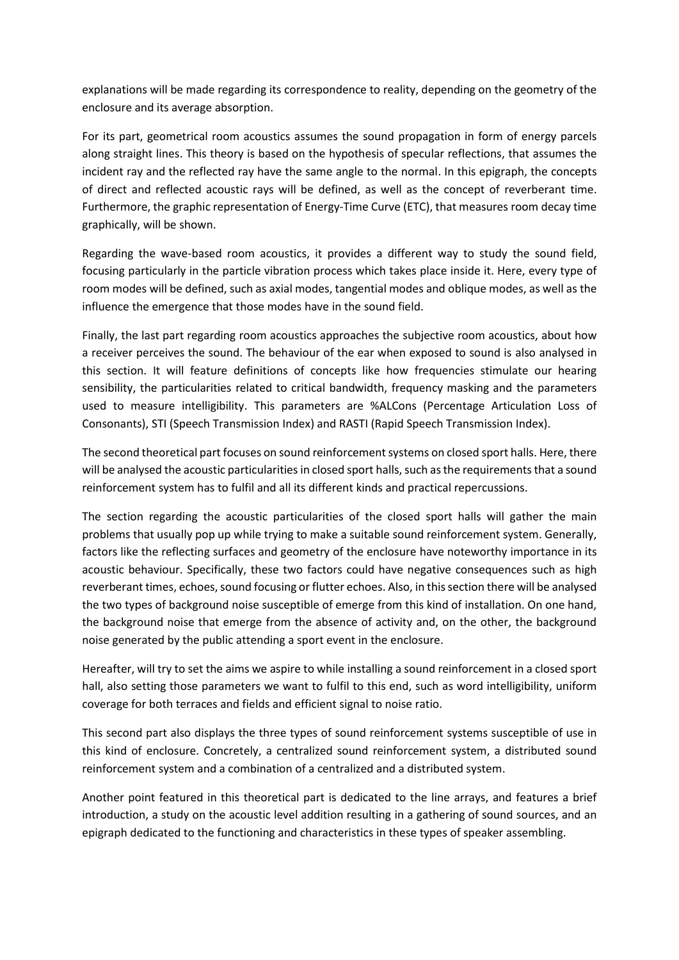explanations will be made regarding its correspondence to reality, depending on the geometry of the enclosure and its average absorption.

For its part, geometrical room acoustics assumes the sound propagation in form of energy parcels along straight lines. This theory is based on the hypothesis of specular reflections, that assumes the incident ray and the reflected ray have the same angle to the normal. In this epigraph, the concepts of direct and reflected acoustic rays will be defined, as well as the concept of reverberant time. Furthermore, the graphic representation of Energy-Time Curve (ETC), that measures room decay time graphically, will be shown.

Regarding the wave-based room acoustics, it provides a different way to study the sound field, focusing particularly in the particle vibration process which takes place inside it. Here, every type of room modes will be defined, such as axial modes, tangential modes and oblique modes, as well as the influence the emergence that those modes have in the sound field.

Finally, the last part regarding room acoustics approaches the subjective room acoustics, about how a receiver perceives the sound. The behaviour of the ear when exposed to sound is also analysed in this section. It will feature definitions of concepts like how frequencies stimulate our hearing sensibility, the particularities related to critical bandwidth, frequency masking and the parameters used to measure intelligibility. This parameters are %ALCons (Percentage Articulation Loss of Consonants), STI (Speech Transmission Index) and RASTI (Rapid Speech Transmission Index).

The second theoretical part focuses on sound reinforcement systems on closed sport halls. Here, there will be analysed the acoustic particularities in closed sport halls, such as the requirements that a sound reinforcement system has to fulfil and all its different kinds and practical repercussions.

The section regarding the acoustic particularities of the closed sport halls will gather the main problems that usually pop up while trying to make a suitable sound reinforcement system. Generally, factors like the reflecting surfaces and geometry of the enclosure have noteworthy importance in its acoustic behaviour. Specifically, these two factors could have negative consequences such as high reverberant times, echoes, sound focusing or flutter echoes. Also, in this section there will be analysed the two types of background noise susceptible of emerge from this kind of installation. On one hand, the background noise that emerge from the absence of activity and, on the other, the background noise generated by the public attending a sport event in the enclosure.

Hereafter, will try to set the aims we aspire to while installing a sound reinforcement in a closed sport hall, also setting those parameters we want to fulfil to this end, such as word intelligibility, uniform coverage for both terraces and fields and efficient signal to noise ratio.

This second part also displays the three types of sound reinforcement systems susceptible of use in this kind of enclosure. Concretely, a centralized sound reinforcement system, a distributed sound reinforcement system and a combination of a centralized and a distributed system.

Another point featured in this theoretical part is dedicated to the line arrays, and features a brief introduction, a study on the acoustic level addition resulting in a gathering of sound sources, and an epigraph dedicated to the functioning and characteristics in these types of speaker assembling.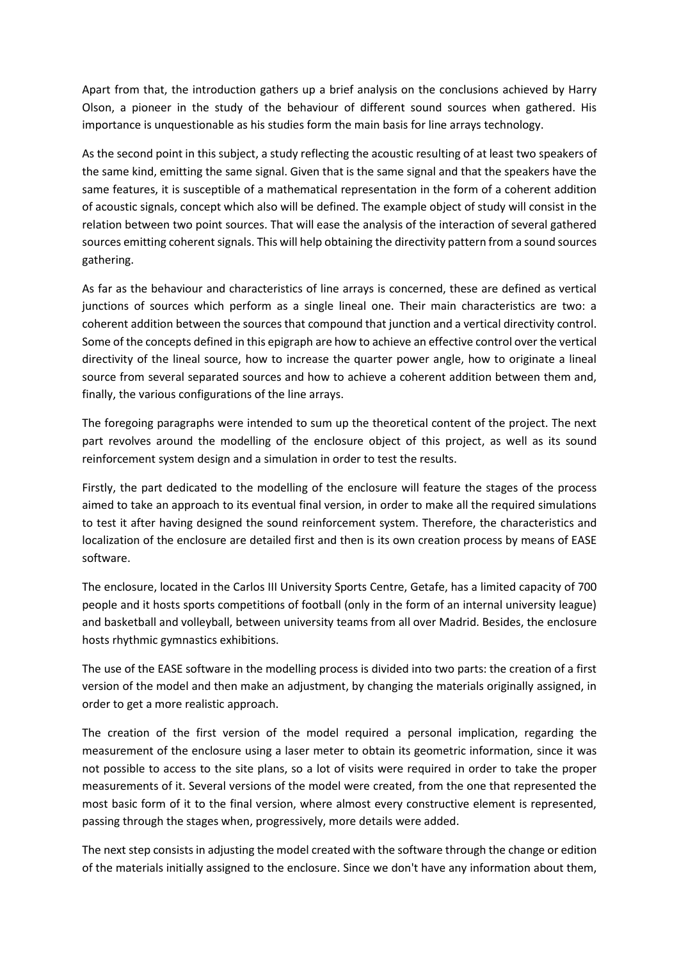Apart from that, the introduction gathers up a brief analysis on the conclusions achieved by Harry Olson, a pioneer in the study of the behaviour of different sound sources when gathered. His importance is unquestionable as his studies form the main basis for line arrays technology.

As the second point in this subject, a study reflecting the acoustic resulting of at least two speakers of the same kind, emitting the same signal. Given that is the same signal and that the speakers have the same features, it is susceptible of a mathematical representation in the form of a coherent addition of acoustic signals, concept which also will be defined. The example object of study will consist in the relation between two point sources. That will ease the analysis of the interaction of several gathered sources emitting coherent signals. This will help obtaining the directivity pattern from a sound sources gathering.

As far as the behaviour and characteristics of line arrays is concerned, these are defined as vertical junctions of sources which perform as a single lineal one. Their main characteristics are two: a coherent addition between the sources that compound that junction and a vertical directivity control. Some of the concepts defined in this epigraph are how to achieve an effective control over the vertical directivity of the lineal source, how to increase the quarter power angle, how to originate a lineal source from several separated sources and how to achieve a coherent addition between them and, finally, the various configurations of the line arrays.

The foregoing paragraphs were intended to sum up the theoretical content of the project. The next part revolves around the modelling of the enclosure object of this project, as well as its sound reinforcement system design and a simulation in order to test the results.

Firstly, the part dedicated to the modelling of the enclosure will feature the stages of the process aimed to take an approach to its eventual final version, in order to make all the required simulations to test it after having designed the sound reinforcement system. Therefore, the characteristics and localization of the enclosure are detailed first and then is its own creation process by means of EASE software.

The enclosure, located in the Carlos III University Sports Centre, Getafe, has a limited capacity of 700 people and it hosts sports competitions of football (only in the form of an internal university league) and basketball and volleyball, between university teams from all over Madrid. Besides, the enclosure hosts rhythmic gymnastics exhibitions.

The use of the EASE software in the modelling process is divided into two parts: the creation of a first version of the model and then make an adjustment, by changing the materials originally assigned, in order to get a more realistic approach.

The creation of the first version of the model required a personal implication, regarding the measurement of the enclosure using a laser meter to obtain its geometric information, since it was not possible to access to the site plans, so a lot of visits were required in order to take the proper measurements of it. Several versions of the model were created, from the one that represented the most basic form of it to the final version, where almost every constructive element is represented, passing through the stages when, progressively, more details were added.

The next step consists in adjusting the model created with the software through the change or edition of the materials initially assigned to the enclosure. Since we don't have any information about them,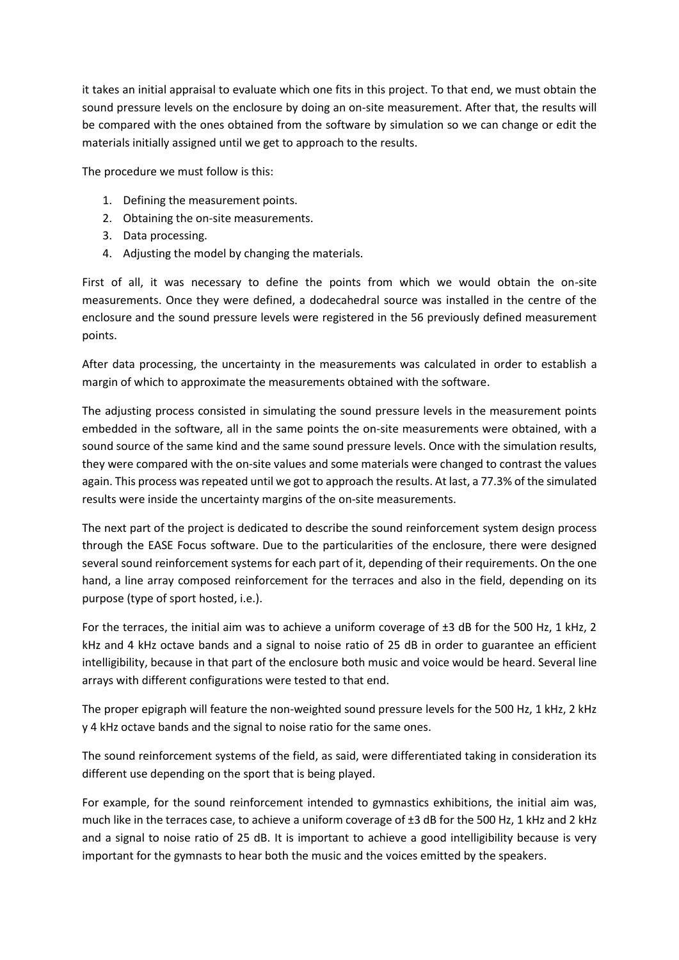it takes an initial appraisal to evaluate which one fits in this project. To that end, we must obtain the sound pressure levels on the enclosure by doing an on-site measurement. After that, the results will be compared with the ones obtained from the software by simulation so we can change or edit the materials initially assigned until we get to approach to the results.

The procedure we must follow is this:

- 1. Defining the measurement points.
- 2. Obtaining the on-site measurements.
- 3. Data processing.
- 4. Adjusting the model by changing the materials.

First of all, it was necessary to define the points from which we would obtain the on-site measurements. Once they were defined, a dodecahedral source was installed in the centre of the enclosure and the sound pressure levels were registered in the 56 previously defined measurement points.

After data processing, the uncertainty in the measurements was calculated in order to establish a margin of which to approximate the measurements obtained with the software.

The adjusting process consisted in simulating the sound pressure levels in the measurement points embedded in the software, all in the same points the on-site measurements were obtained, with a sound source of the same kind and the same sound pressure levels. Once with the simulation results, they were compared with the on-site values and some materials were changed to contrast the values again. This process was repeated until we got to approach the results. At last, a 77.3% of the simulated results were inside the uncertainty margins of the on-site measurements.

The next part of the project is dedicated to describe the sound reinforcement system design process through the EASE Focus software. Due to the particularities of the enclosure, there were designed several sound reinforcement systems for each part of it, depending of their requirements. On the one hand, a line array composed reinforcement for the terraces and also in the field, depending on its purpose (type of sport hosted, i.e.).

For the terraces, the initial aim was to achieve a uniform coverage of  $\pm 3$  dB for the 500 Hz, 1 kHz, 2 kHz and 4 kHz octave bands and a signal to noise ratio of 25 dB in order to guarantee an efficient intelligibility, because in that part of the enclosure both music and voice would be heard. Several line arrays with different configurations were tested to that end.

The proper epigraph will feature the non-weighted sound pressure levels for the 500 Hz, 1 kHz, 2 kHz y 4 kHz octave bands and the signal to noise ratio for the same ones.

The sound reinforcement systems of the field, as said, were differentiated taking in consideration its different use depending on the sport that is being played.

For example, for the sound reinforcement intended to gymnastics exhibitions, the initial aim was, much like in the terraces case, to achieve a uniform coverage of ±3 dB for the 500 Hz, 1 kHz and 2 kHz and a signal to noise ratio of 25 dB. It is important to achieve a good intelligibility because is very important for the gymnasts to hear both the music and the voices emitted by the speakers.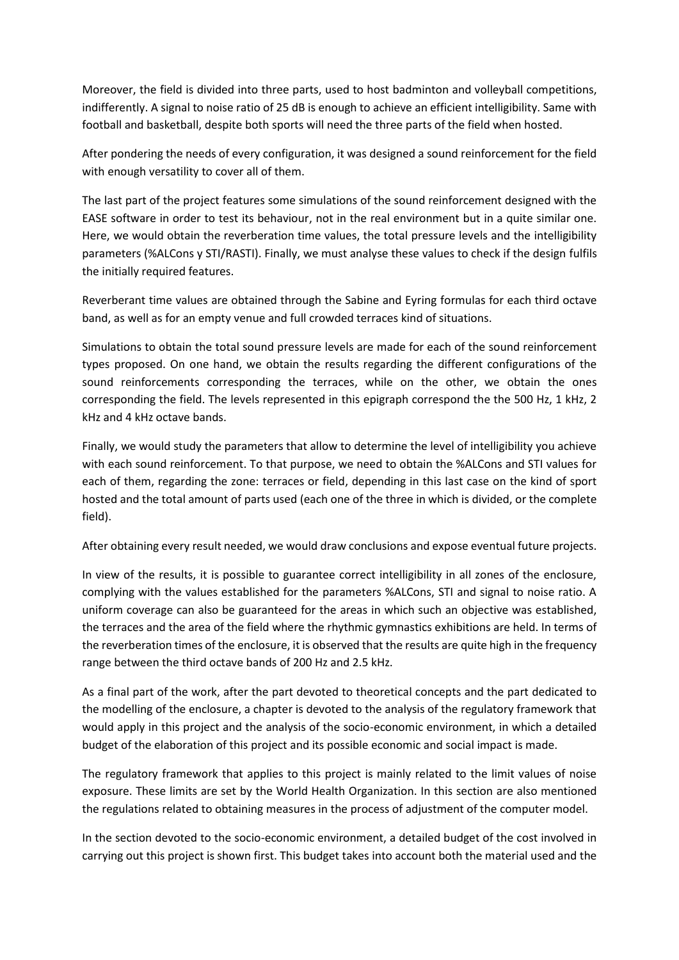Moreover, the field is divided into three parts, used to host badminton and volleyball competitions, indifferently. A signal to noise ratio of 25 dB is enough to achieve an efficient intelligibility. Same with football and basketball, despite both sports will need the three parts of the field when hosted.

After pondering the needs of every configuration, it was designed a sound reinforcement for the field with enough versatility to cover all of them.

The last part of the project features some simulations of the sound reinforcement designed with the EASE software in order to test its behaviour, not in the real environment but in a quite similar one. Here, we would obtain the reverberation time values, the total pressure levels and the intelligibility parameters (%ALCons y STI/RASTI). Finally, we must analyse these values to check if the design fulfils the initially required features.

Reverberant time values are obtained through the Sabine and Eyring formulas for each third octave band, as well as for an empty venue and full crowded terraces kind of situations.

Simulations to obtain the total sound pressure levels are made for each of the sound reinforcement types proposed. On one hand, we obtain the results regarding the different configurations of the sound reinforcements corresponding the terraces, while on the other, we obtain the ones corresponding the field. The levels represented in this epigraph correspond the the 500 Hz, 1 kHz, 2 kHz and 4 kHz octave bands.

Finally, we would study the parameters that allow to determine the level of intelligibility you achieve with each sound reinforcement. To that purpose, we need to obtain the %ALCons and STI values for each of them, regarding the zone: terraces or field, depending in this last case on the kind of sport hosted and the total amount of parts used (each one of the three in which is divided, or the complete field).

After obtaining every result needed, we would draw conclusions and expose eventual future projects.

In view of the results, it is possible to guarantee correct intelligibility in all zones of the enclosure, complying with the values established for the parameters %ALCons, STI and signal to noise ratio. A uniform coverage can also be guaranteed for the areas in which such an objective was established, the terraces and the area of the field where the rhythmic gymnastics exhibitions are held. In terms of the reverberation times of the enclosure, it is observed that the results are quite high in the frequency range between the third octave bands of 200 Hz and 2.5 kHz.

As a final part of the work, after the part devoted to theoretical concepts and the part dedicated to the modelling of the enclosure, a chapter is devoted to the analysis of the regulatory framework that would apply in this project and the analysis of the socio-economic environment, in which a detailed budget of the elaboration of this project and its possible economic and social impact is made.

The regulatory framework that applies to this project is mainly related to the limit values of noise exposure. These limits are set by the World Health Organization. In this section are also mentioned the regulations related to obtaining measures in the process of adjustment of the computer model.

In the section devoted to the socio-economic environment, a detailed budget of the cost involved in carrying out this project is shown first. This budget takes into account both the material used and the